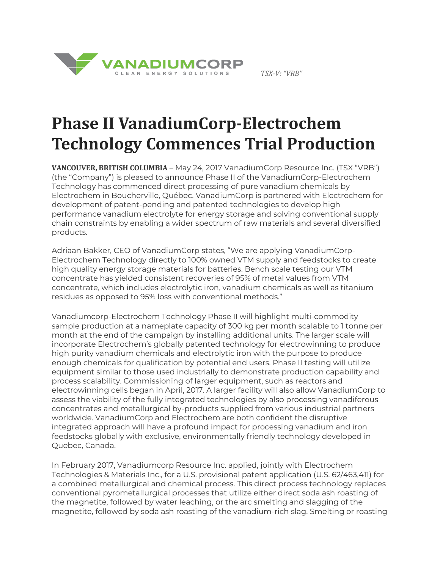

## **Phase II VanadiumCorp-Electrochem Technology Commences Trial Production**

*TSX-V: "VRB"*

**VANCOUVER, BRITISH COLUMBIA** – May 24, 2017 VanadiumCorp Resource Inc. (TSX "VRB") (the "Company") is pleased to announce Phase II of the VanadiumCorp-Electrochem Technology has commenced direct processing of pure vanadium chemicals by Electrochem in Boucherville, Québec. VanadiumCorp is partnered with Electrochem for development of patent-pending and patented technologies to develop high performance vanadium electrolyte for energy storage and solving conventional supply chain constraints by enabling a wider spectrum of raw materials and several diversified products.

Adriaan Bakker, CEO of VanadiumCorp states, "We are applying VanadiumCorp-Electrochem Technology directly to 100% owned VTM supply and feedstocks to create high quality energy storage materials for batteries. Bench scale testing our VTM concentrate has yielded consistent recoveries of 95% of metal values from VTM concentrate, which includes electrolytic iron, vanadium chemicals as well as titanium residues as opposed to 95% loss with conventional methods."

Vanadiumcorp-Electrochem Technology Phase II will highlight multi-commodity sample production at a nameplate capacity of 300 kg per month scalable to 1 tonne per month at the end of the campaign by installing additional units. The larger scale will incorporate Electrochem's globally patented technology for electrowinning to produce high purity vanadium chemicals and electrolytic iron with the purpose to produce enough chemicals for qualification by potential end users. Phase II testing will utilize equipment similar to those used industrially to demonstrate production capability and process scalability. Commissioning of larger equipment, such as reactors and electrowinning cells began in April, 2017. A larger facility will also allow VanadiumCorp to assess the viability of the fully integrated technologies by also processing vanadiferous concentrates and metallurgical by-products supplied from various industrial partners worldwide. VanadiumCorp and Electrochem are both confident the disruptive integrated approach will have a profound impact for processing vanadium and iron feedstocks globally with exclusive, environmentally friendly technology developed in Quebec, Canada.

In February 2017, Vanadiumcorp Resource Inc. applied, jointly with Electrochem Technologies & Materials Inc., for a U.S. provisional patent application (U.S. 62/463,411) for a combined metallurgical and chemical process. This direct process technology replaces conventional pyrometallurgical processes that utilize either direct soda ash roasting of the magnetite, followed by water leaching, or the arc smelting and slagging of the magnetite, followed by soda ash roasting of the vanadium-rich slag. Smelting or roasting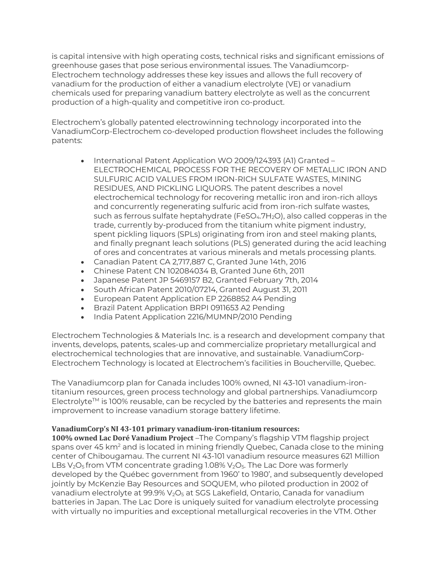is capital intensive with high operating costs, technical risks and significant emissions of greenhouse gases that pose serious environmental issues. The Vanadiumcorp-Electrochem technology addresses these key issues and allows the full recovery of vanadium for the production of either a vanadium electrolyte (VE) or vanadium chemicals used for preparing vanadium battery electrolyte as well as the concurrent production of a high-quality and competitive iron co-product.

Electrochem's globally patented electrowinning technology incorporated into the VanadiumCorp-Electrochem co-developed production flowsheet includes the following patents:

- International Patent Application WO 2009/124393 (A1) Granted ELECTROCHEMICAL PROCESS FOR THE RECOVERY OF METALLIC IRON AND SULFURIC ACID VALUES FROM IRON-RICH SULFATE WASTES, MINING RESIDUES, AND PICKLING LIQUORS. The patent describes a novel electrochemical technology for recovering metallic iron and iron-rich alloys and concurrently regenerating sulfuric acid from iron-rich sulfate wastes, such as ferrous sulfate heptahydrate (FeSO $_4$ .7H<sub>2</sub>O), also called copperas in the trade, currently by-produced from the titanium white pigment industry, spent pickling liquors (SPLs) originating from iron and steel making plants, and finally pregnant leach solutions (PLS) generated during the acid leaching of ores and concentrates at various minerals and metals processing plants.
- Canadian Patent CA 2,717,887 C, Granted June 14th, 2016
- Chinese Patent CN 102084034 B, Granted June 6th, 2011
- Japanese Patent JP 5469157 B2, Granted February 7th, 2014
- South African Patent 2010/07214, Granted August 31, 2011
- European Patent Application EP 2268852 A4 Pending
- Brazil Patent Application BRPI 0911653 A2 Pending
- India Patent Application 2216/MUMNP/2010 Pending

Electrochem Technologies & Materials Inc. is a research and development company that invents, develops, patents, scales-up and commercialize proprietary metallurgical and electrochemical technologies that are innovative, and sustainable. VanadiumCorp-Electrochem Technology is located at Electrochem's facilities in Boucherville, Quebec.

The Vanadiumcorp plan for Canada includes 100% owned, NI 43-101 vanadium-irontitanium resources, green process technology and global partnerships. Vanadiumcorp Electrolyte<sup>TM</sup> is 100% reusable, can be recycled by the batteries and represents the main improvement to increase vanadium storage battery lifetime.

## **VanadiumCorp's NI 43-101 primary vanadium-iron-titanium resources:**

**100% owned Lac Doré Vanadium Project** –The Company's flagship VTM flagship project spans over 45 km2 and is located in mining friendly Quebec, Canada close to the mining center of Chibougamau. The current NI 43-101 vanadium resource measures 621 Million LBs  $V_2O_5$  from VTM concentrate grading 1.08%  $V_2O_5$ . The Lac Dore was formerly developed by the Québec government from 1960' to 1980', and subsequently developed jointly by McKenzie Bay Resources and SOQUEM, who piloted production in 2002 of vanadium electrolyte at  $99.9\%$   $V_2O_5$  at SGS Lakefield, Ontario, Canada for vanadium batteries in Japan. The Lac Dore is uniquely suited for vanadium electrolyte processing with virtually no impurities and exceptional metallurgical recoveries in the VTM. Other